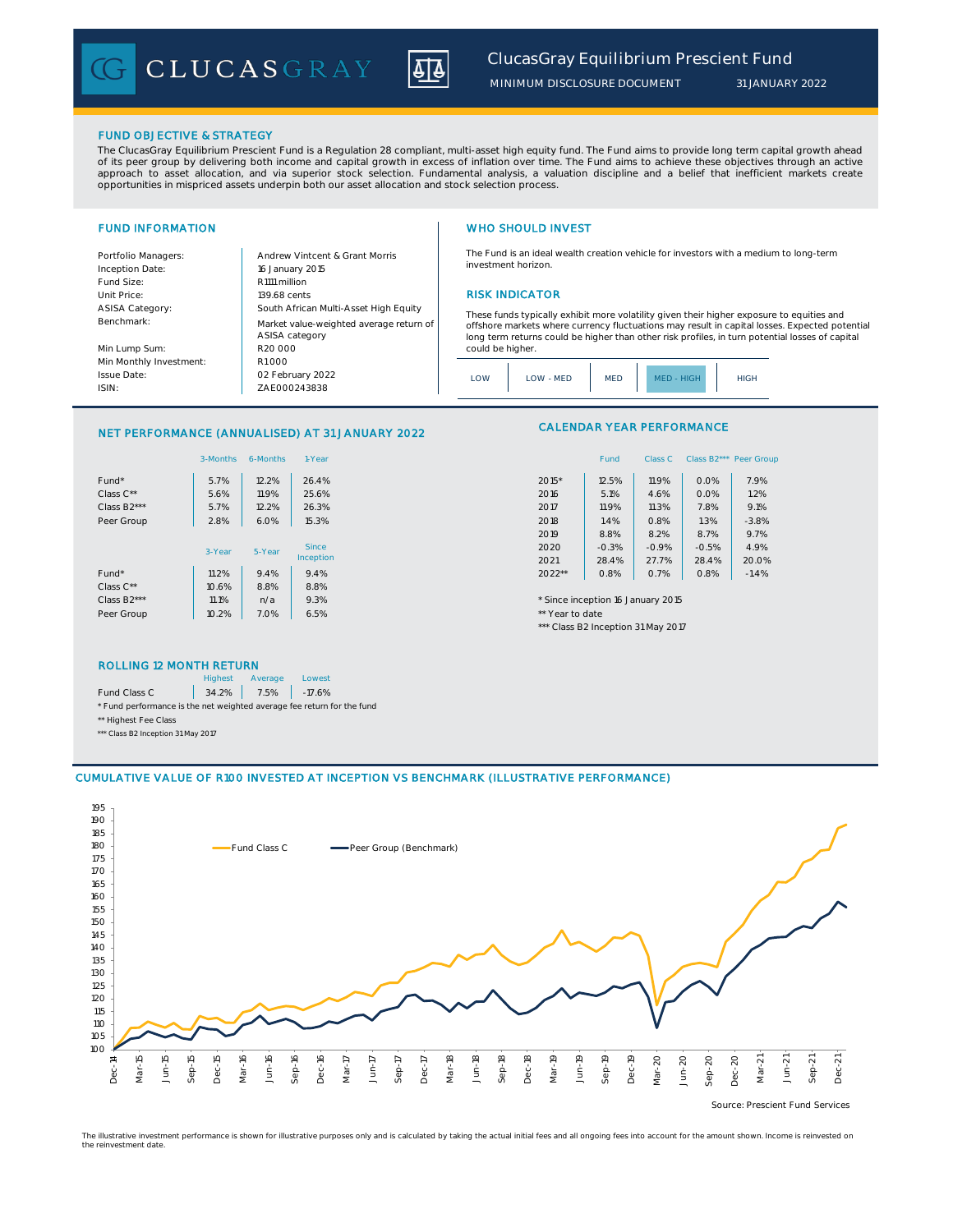

The Fund is an ideal wealth creation vehicle for investors with a medium to long-term

These funds typically exhibit more volatility given their higher exposure to equities and offshore markets where currency fluctuations may result in capital losses. Expected potential long term returns could be higher than other risk profiles, in turn potential losses of capital

*MINIMUM DISCLOSURE DOCUMENT*

### FUND OBJECTIVE & STRATEGY

The ClucasGray Equilibrium Prescient Fund is a Regulation 28 compliant, multi-asset high equity fund. The Fund aims to provide long term capital growth ahead of its peer group by delivering both income and capital growth in excess of inflation over time. The Fund aims to achieve these objectives through an active<br>approach to asset allocation, and via superior stock selection. F

investment horizon.

could be higher.

#### FUND INFORMATION WHO SHOULD INVEST

Inception Date:

ASISA Category: Benchmark:

Portfolio Managers: <br>Andrew Vintcent & Grant Morris Fund Size: R1111 million Unit Price: 139.68 cents **RISK INDICATOR** 16 January 2015 R20 000 ASISA category

Min Lump Sum: Min Monthly Investment: Issue Date: ISIN:

ZAE000243838 South African Multi-Asset High Equity Market value-weighted average return of 02 February 2022 R1 000

## LOW LOW MED MED MED HIGH HIGH

### NET PERFORMANCE (ANNUALISED) AT 31 JANUARY 2022

|                   | 3-Months | 6-Months | 1-Year       | Class B2*** Peer Gro<br>Fund<br>Class C       |
|-------------------|----------|----------|--------------|-----------------------------------------------|
| Fund <sup>*</sup> | 5.7%     | 12.2%    | 26.4%        | $2015*$<br>7.9%<br>12.5%<br>0.0%<br>11.9%     |
| Class $C^{**}$    | 5.6%     | 11.9%    | 25.6%        | 1.2%<br>2016<br>5.1%<br>0.0%<br>4.6%          |
| Class B2***       | 5.7%     | 12.2%    | 26.3%        | 7.8%<br>9.1%<br>2017<br>11.9%<br>11.3%        |
| Peer Group        | 2.8%     | 6.0%     | 15.3%        | 2018<br>1.3%<br>$-3.8%$<br>1.4%<br>0.8%       |
|                   |          |          |              | 8.8%<br>8.7%<br>9.7%<br>2019<br>8.2%          |
|                   | 3-Year   | 5-Year   | <b>Since</b> | 4.9%<br>2020<br>$-0.3%$<br>$-0.5%$<br>$-0.9%$ |
|                   |          |          | Inception    | 20.0%<br>2021<br>27.7%<br>28.4%<br>28.4%      |
| Fund <sup>*</sup> | 11.2%    | 9.4%     | 9.4%         | $2022**$<br>0.8%<br>0.7%<br>0.8%<br>$-1.4%$   |
| Class $C^{**}$    | 10.6%    | 8.8%     | 8.8%         |                                               |
| Class B2***       | 11.1%    | n/a      | 9.3%         | * Since inception 16 January 2015             |
| Peer Group        | 10.2%    | 7.0%     | 6.5%         | ** Year to date                               |
|                   |          |          |              |                                               |

#### ROLLING 12 MONTH RETURN

|                                                                        | <b>Highest</b> | Average       | Lowest   |
|------------------------------------------------------------------------|----------------|---------------|----------|
| Fund Class C                                                           |                | $34.2\%$ 7.5% | $-17.6%$ |
| * Fund performance is the net weighted average fee return for the fund |                |               |          |
| ** Highest Fee Class                                                   |                |               |          |
| *** Class B2 Inception 31 May 2017                                     |                |               |          |

# CALENDAR YEAR PERFORMANCE

| 1-Year       |        | Fund    | Class C | Class B <sub>2</sub> *** | Peer Group |
|--------------|--------|---------|---------|--------------------------|------------|
| 26.4%        | 2015*  | 12.5%   | 11.9%   | 0.0%                     | 7.9%       |
| 25.6%        | 2016   | 5.1%    | 4.6%    | 0.0%                     | 1.2%       |
| 26.3%        | 2017   | 11.9%   | 11.3%   | 7.8%                     | 9.1%       |
| 15.3%        | 2018   | 1.4%    | 0.8%    | 1.3%                     | $-3.8%$    |
|              | 2019   | 8.8%    | 8.2%    | 8.7%                     | 9.7%       |
| <b>Since</b> | 2020   | $-0.3%$ | $-0.9%$ | $-0.5%$                  | 4.9%       |
| ception      | 2021   | 28.4%   | 27.7%   | 28.4%                    | 20.0%      |
| 9.4%         | 2022** | 0.8%    | 0.7%    | 0.8%                     | $-1.4%$    |

\*\*\* Class B2 Inception 31 May 2017

## CUMULATIVE VALUE OF R100 INVESTED AT INCEPTION VS BENCHMARK (ILLUSTRATIVE PERFORMANCE)



The illustrative investment performance is shown for illustrative purposes only and is calculated by taking the actual initial fees and all ongoing fees into account for the amount shown. Income is reinvested on the reinvestment date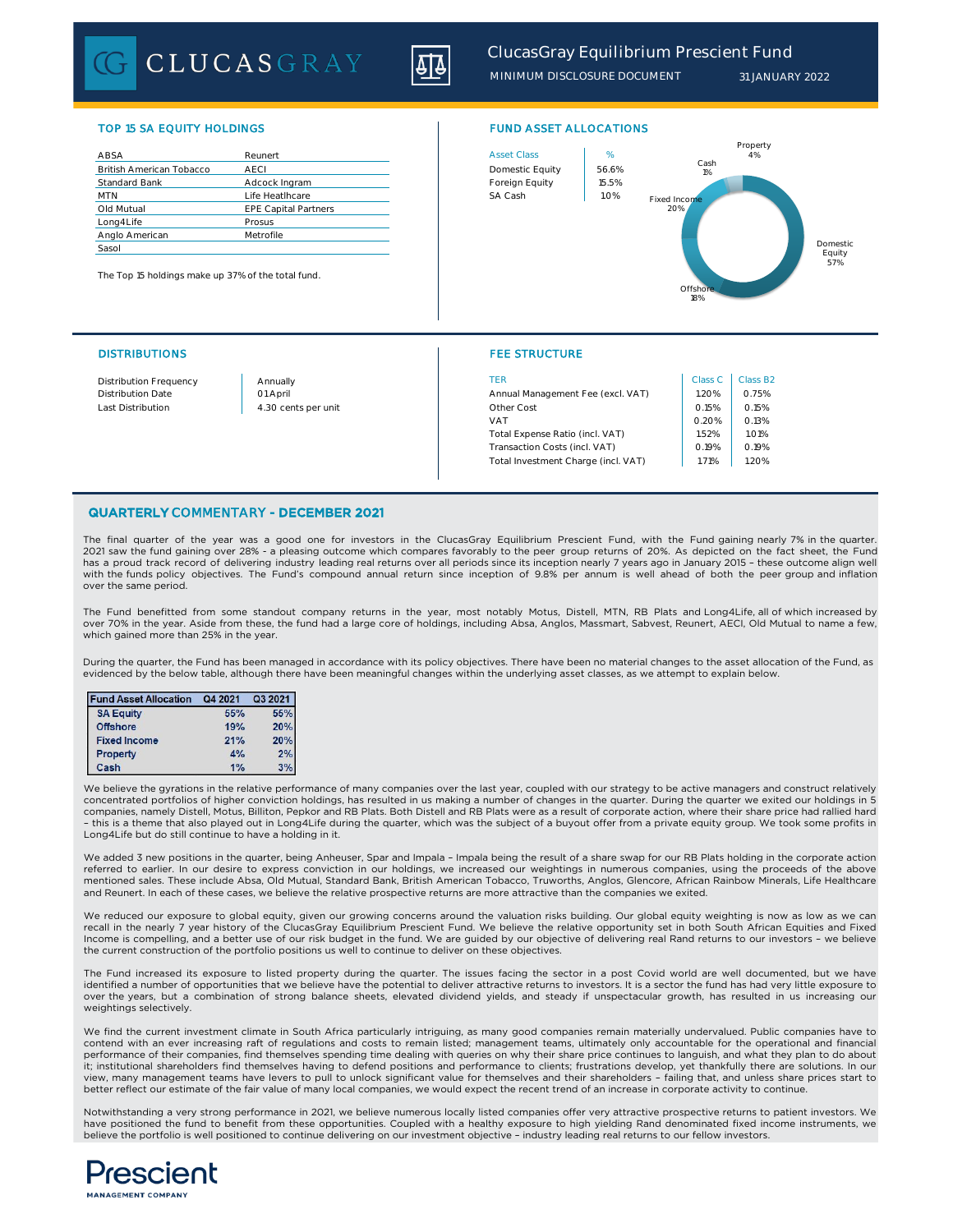CLUCASGRAY



*MINIMUM DISCLOSURE DOCUMENT 31 JANUARY 2022*

### TOP 15 SA EQUITY HOLDINGS FUND ASSET ALLOCATIONS

| ABSA                            | Reunert                     |  | <b>Asset Class</b> | %     |
|---------------------------------|-----------------------------|--|--------------------|-------|
| <b>British American Tobacco</b> | AECI                        |  | Domestic Equity    | 56.69 |
| <b>Standard Bank</b>            | Adcock Ingram               |  | Foreign Equity     | 15.5% |
| <b>MTN</b>                      | Life Heatlhcare             |  | SA Cash            | 1.0%  |
| Old Mutual                      | <b>EPE Capital Partners</b> |  |                    |       |
| Long4Life                       | Prosus                      |  |                    |       |
| Anglo American                  | Metrofile                   |  |                    |       |
| Sasol                           |                             |  |                    |       |

The Top 15 holdings make up 37% of the total fund.



#### DISTRIBUTIONS FEE STRUCTURE

| <b>Distribution Frequency</b> | Annually            | TFR                                 | Class C | Class B2 |
|-------------------------------|---------------------|-------------------------------------|---------|----------|
| <b>Distribution Date</b>      | 01 April            | Annual Management Fee (excl. VAT)   | .20%    | 0.75%    |
| Last Distribution             | 4.30 cents per unit | Other Cost                          | 0.15%   | 0.15%    |
|                               |                     | <b>VAT</b>                          | 0.20%   | 0.13%    |
|                               |                     | Total Expense Ratio (incl. VAT)     | .52%    | 1.01%    |
|                               |                     | Transaction Costs (incl. VAT)       | 0.19%   | 0.19%    |
|                               |                     | Total Investment Charge (incl. VAT) | 71%     | 1.20%    |

#### QUARTERLY COMMENTARY - DECEMBER 2021

The final quarter of the year was a good one for investors in the ClucasGray Equilibrium Prescient Fund, with the Fund gaining nearly 7% in the quarter. 2021 saw the fund gaining over 28% - a pleasing outcome which compares favorably to the peer group returns of 20%. As depicted on the fact sheet, the Fund has a proud track record of delivering industry leading real returns over all periods since its inception nearly 7 years ago in January 2015 – these outcome align well with the funds policy objectives. The Fund's compound annual return since inception of 9.8% per annum is well ahead of both the peer group and inflation over the same period.

The Fund benefitted from some standout company returns in the year, most notably Motus, Distell, MTN, RB Plats and Long4Life, all of which increased by over 70% in the year. Aside from these, the fund had a large core of holdings, including Absa, Anglos, Massmart, Sabvest, Reunert, AECI, Old Mutual to name a few, which gained more than 25% in the year.

During the quarter, the Fund has been managed in accordance with its policy objectives. There have been no material changes to the asset allocation of the Fund, as evidenced by the below table, although there have been meaningful changes within the underlying asset classes, as we attempt to explain below.

| <b>Fund Asset Allocation</b> | Q4 2021 | Q3 2021 |
|------------------------------|---------|---------|
| <b>SA Equity</b>             | 55%     | 55%     |
| <b>Offshore</b>              | 19%     | 20%     |
| <b>Fixed Income</b>          | 21%     | 20%     |
| <b>Property</b>              | 4%      | 2%      |
| Cash                         | 1%      | 3%      |

We believe the gyrations in the relative performance of many companies over the last year, coupled with our strategy to be active managers and construct relatively concentrated portfolios of higher conviction holdings, has resulted in us making a number of changes in the quarter. During the quarter we exited our holdings in 5 companies, namely Distell, Motus, Billiton, Pepkor and RB Plats. Both Distell and RB Plats were as a result of corporate action, where their share price had rallied hard – this is a theme that also played out in Long4Life during the quarter, which was the subject of a buyout offer from a private equity group. We took some profits in Long4Life but do still continue to have a holding in it.

We added 3 new positions in the quarter, being Anheuser, Spar and Impala – Impala being the result of a share swap for our RB Plats holding in the corporate action referred to earlier. In our desire to express conviction in our holdings, we increased our weightings in numerous companies, using the proceeds of the above mentioned sales. These include Absa, Old Mutual, Standard Bank, British American Tobacco, Truworths, Anglos, Glencore, African Rainbow Minerals, Life Healthcare and Reunert. In each of these cases, we believe the relative prospective returns are more attractive than the companies we exited.

We reduced our exposure to global equity, given our growing concerns around the valuation risks building. Our global equity weighting is now as low as we can recall in the nearly 7 year history of the ClucasGray Equilibrium Prescient Fund. We believe the relative opportunity set in both South African Equities and Fixed Income is compelling, and a better use of our risk budget in the fund. We are guided by our objective of delivering real Rand returns to our investors - we believe the current construction of the portfolio positions us well to continue to deliver on these objectives.

The Fund increased its exposure to listed property during the quarter. The issues facing the sector in a post Covid world are well documented, but we have identified a number of opportunities that we believe have the potential to deliver attractive returns to investors. It is a sector the fund has had very little exposure to over the years, but a combination of strong balance sheets, elevated dividend yields, and steady if unspectacular growth, has resulted in us increasing our weightings selectively.

We find the current investment climate in South Africa particularly intriguing, as many good companies remain materially undervalued. Public companies have to contend with an ever increasing raft of regulations and costs to remain listed; management teams, ultimately only accountable for the operational and financial performance of their companies, find themselves spending time dealing with queries on why their share price continues to languish, and what they plan to do about it; institutional shareholders find themselves having to defend positions and performance to clients; frustrations develop, yet thankfully there are solutions. In our view, many management teams have levers to pull to unlock significant value for themselves and their shareholders – failing that, and unless share prices start to better reflect our estimate of the fair value of many local companies, we would expect the recent trend of an increase in corporate activity to continue

Notwithstanding a very strong performance in 2021, we believe numerous locally listed companies offer very attractive prospective returns to patient investors. We have positioned the fund to benefit from these opportunities. Coupled with a healthy exposure to high yielding Rand denominated fixed income instruments, we believe the portfolio is well positioned to continue delivering on our investment objective – industry leading real returns to our fellow investors.